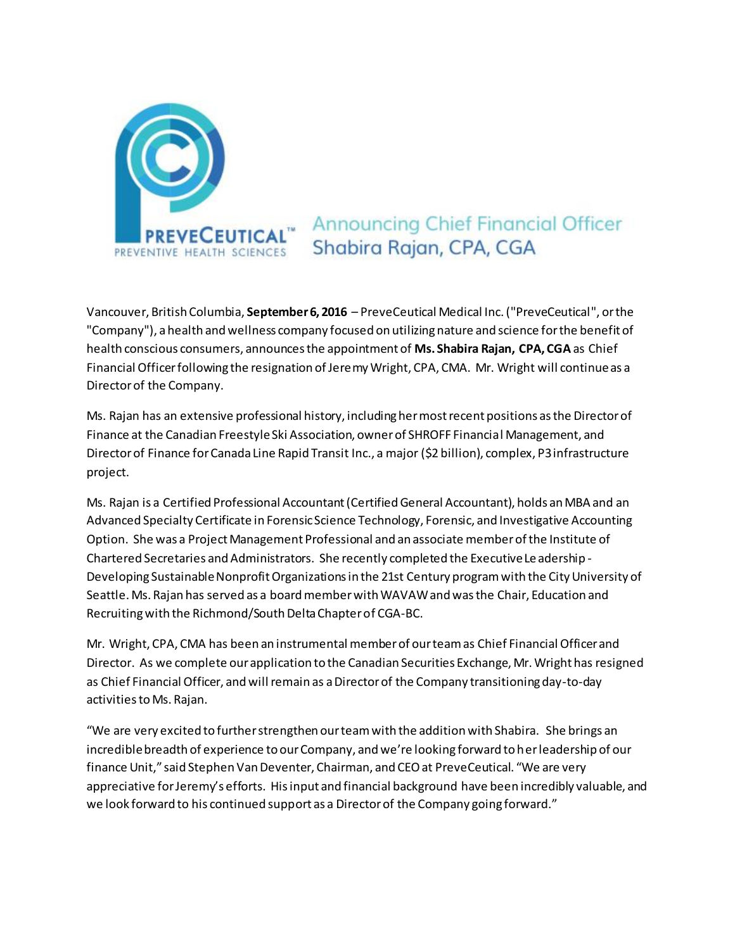

## **Announcing Chief Financial Officer** Shabira Rajan, CPA, CGA

Vancouver, British Columbia, **September 6, 2016** – PreveCeutical Medical Inc. ("PreveCeutical", or the "Company"), a health and wellness company focused on utilizing nature and science for the benefit of health conscious consumers, announces the appointment of **Ms. Shabira Rajan, CPA, CGA**as Chief Financial Officer following the resignation of Jeremy Wright, CPA, CMA. Mr. Wright will continue as a Director of the Company.

Ms. Rajan has an extensive professional history, including her most recent positions as the Director of Finance at the Canadian Freestyle Ski Association, owner of SHROFF Financial Management, and Director of Finance for Canada Line Rapid Transit Inc., a major (\$2 billion), complex, P3 infrastructure project.

Ms. Rajan is a Certified Professional Accountant (Certified General Accountant), holds an MBA and an Advanced Specialty Certificate in Forensic Science Technology, Forensic, and Investigative Accounting Option. She was a Project Management Professional and an associate member of the Institute of Chartered Secretaries and Administrators. She recently completed the Executive Leadership - Developing Sustainable Nonprofit Organizations in the 21st Century program with the City University of Seattle. Ms. Rajan has served as a board member with WAVAW and was the Chair, Education and Recruiting with the Richmond/South Delta Chapter of CGA-BC.

Mr. Wright, CPA, CMA has been an instrumental member of our team as Chief Financial Officer and Director. As we complete our application to the Canadian Securities Exchange, Mr. Wright has resigned as Chief Financial Officer, and will remain as a Director of the Company transitioning day-to-day activities to Ms. Rajan.

"We are very excited to further strengthen our team with the addition with Shabira. She brings an incredible breadth of experience to our Company, and we're looking forward to her leadership of our finance Unit," said Stephen Van Deventer, Chairman, and CEO at PreveCeutical. "We are very appreciative for Jeremy's efforts. His input and financial background have been incredibly valuable, and we look forward to his continued support as a Director of the Company going forward."